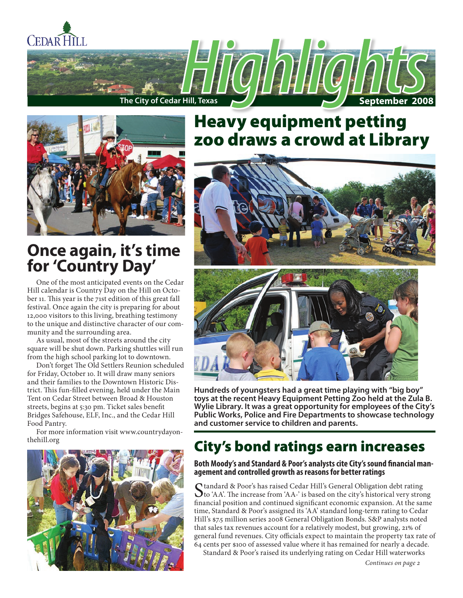



# **Once again, it's time for 'Country Day'**

One of the most anticipated events on the Cedar Hill calendar is Country Day on the Hill on October 11. This year is the 71st edition of this great fall festival. Once again the city is preparing for about 12,000 visitors to this living, breathing testimony to the unique and distinctive character of our community and the surrounding area.

As usual, most of the streets around the city square will be shut down. Parking shuttles will run from the high school parking lot to downtown.

Don't forget The Old Settlers Reunion scheduled for Friday, October 10. It will draw many seniors and their families to the Downtown Historic District. This fun-filled evening, held under the Main Tent on Cedar Street between Broad & Houston streets, begins at 5:30 pm. Ticket sales benefit Bridges Safehouse, ELF, Inc., and the Cedar Hill Food Pantry.

For more information visit www.countrydayonthehill.org



# Heavy equipment petting zoo draws a crowd at Library



**Hundreds of youngsters had a great time playing with "big boy" toys at the recent Heavy Equipment Petting Zoo held at the Zula B. Wylie Library. It was a great opportunity for employees of the City's Public Works, Police and Fire Departments to showcase technology and customer service to children and parents.** 

# City's bond ratings earn increases

#### **Both Moody's and Standard & Poor's analysts cite City's sound financial management and controlled growth as reasons for better ratings**

Standard & Poor's has raised Cedar Hill's General Obligation debt rating<br>to 'AA'. The increase from 'AA-' is based on the city's historical very strong<br>face and action of continued similar to represent a meaning of the con financial position and continued significant economic expansion. At the same time, Standard & Poor's assigned its 'AA' standard long-term rating to Cedar Hill's \$7.5 million series 2008 General Obligation Bonds. S&P analysts noted that sales tax revenues account for a relatively modest, but growing, 21% of general fund revenues. City officials expect to maintain the property tax rate of 64 cents per \$100 of assessed value where it has remained for nearly a decade.

Standard & Poor's raised its underlying rating on Cedar Hill waterworks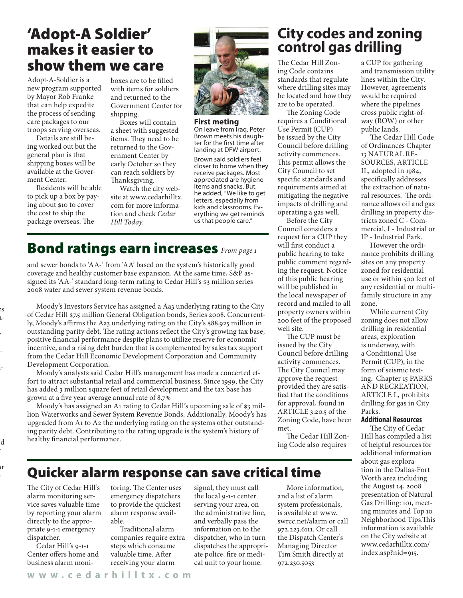# 'Adopt-A Soldier' makes it easier to show them we care

Adopt-A-Soldier is a new program supported by Mayor Rob Franke that can help expedite the process of sending care packages to our troops serving overseas.

Details are still being worked out but the general plan is that shipping boxes will be available at the Goverment Center.

Residents will be able to pick up a box by paying about \$10 to cover the cost to ship the package overseas. The

ment Center for spouses  $1-$ 

 $\ddot{\phantom{e}}$ 

notified of their presen-

 $\vdash$ 

 $d$ to the city at no cost by

 $\mathbf{r}$  $\overline{a}$ 

> The City of Cedar Hill's alarm monitoring service saves valuable time by reporting your alarm directly to the appropriate 9-1-1 emergency

Cedar Hill's 9-1-1 Center offers home and business alarm moni-

dispatcher.

boxes are to be filled with items for soldiers and returned to the Government Center for shipping.

Boxes will contain a sheet with suggested items. They need to be returned to the Government Center by early October so they can reach soldiers by Thanksgiving.

Watch the city website at www.cedarhilltx. com for more information and check *Cedar Hill Today*.



**First meting** On leave from Iraq, Peter Brown meets his daughter for the first time after landing at DFW airport.

Brown said soldiers feel closer to home when they receive packages. Most appreciated are hygiene items and snacks. But, he added, "We like to get letters, especially from kids and classrooms. Everything we get reminds us that people care."

# Bond ratings earn increases *From page 1*

and sewer bonds to 'AA-' from 'AA' based on the system's historically good coverage and healthy customer base expansion. At the same time, S&P assigned its 'AA-' standard long-term rating to Cedar Hill's \$3 million series 2008 water and sewer system revenue bonds.

Moody's Investors Service has assigned a Aa3 underlying rating to the City of Cedar Hill \$7.5 million General Obligation bonds, Series 2008. Concurrently, Moody's affirms the Aa3 underlying rating on the City's \$88.925 million in outstanding parity debt. The rating actions reflect the City's growing tax base, positive financial performance despite plans to utilize reserve for economic incentive, and a rising debt burden that is complemented by sales tax support from the Cedar Hill Economic Development Corporation and Community Development Corporation.

Moody's analysts said Cedar Hill's management has made a concerted effort to attract substantial retail and commercial business. Since 1999, the City has added 3 million square feet of retail development and the tax base has grown at a five year average annual rate of 8.7%

Moody's has assigned an A1 rating to Cedar Hill's upcoming sale of \$3 million Waterworks and Sewer System Revenue Bonds. Additionally, Moody's has upgraded from A1 to A2 the underlying rating on the systems other outstanding parity debt. Contributing to the rating upgrade is the system's history of healthy financial performance.

> toring. The Center uses emergency dispatchers to provide the quickest alarm response avail-

Traditional alarm companies require extra steps which consume valuable time. After receiving your alarm

Quicker alarm response can save critical time

signal, they must call the local 9-1-1 center serving your area, on the administrative line, and verbally pass the information on to the dispatcher, who in turn dispatches the appropriate police, fire or medical unit to your home.

## **City codes and zoning control gas drilling**

The Cedar Hill Zoning Code contains standards that regulate where drilling sites may be located and how they are to be operated.

The Zoning Code requires a Conditional Use Permit (CUP) be issued by the City Council before drilling activity commences. This permit allows the City Council to set specific standards and requirements aimed at mitigating the negative impacts of drilling and operating a gas well.

Before the City Council considers a request for a CUP they will first conduct a public hearing to take public comment regarding the request. Notice of this public hearing will be published in the local newspaper of record and mailed to all property owners within 200 feet of the proposed well site.

The CUP must be issued by the City Council before drilling activity commences. The City Council may approve the request provided they are satisfied that the conditions for approval, found in ARTICLE 3.20.5 of the Zoning Code, have been met.

The Cedar Hill Zoning Code also requires

More information, and a list of alarm system professionals, is available at www. swrcc.net/alarm or call 972.223.6111. Or call the Dispatch Center's Managing Director Tim Smith directly at

972.230.5053

a CUP for gathering and transmission utility lines within the City. However, agreements would be required where the pipelines cross public right-ofway (ROW) or other public lands.

The Cedar Hill Code of Ordinances Chapter 13 NATURAL RE-SOURCES, ARTICLE II., adopted in 1984, specifically addresses the extraction of natural resources. The ordinance allows oil and gas drilling in property districts zoned C - Commercial, I - Industrial or IP - Industrial Park.

However the ordinance prohibits drilling sites on any property zoned for residential use or within 500 feet of any residential or multifamily structure in any zone.

While current City zoning does not allow drilling in residential areas, exploration is underway, with a Conditional Use Permit (CUP), in the form of seismic testing. Chapter 15 PARKS AND RECREATION, ARTICLE I., prohibits drilling for gas in City Parks.

#### **Additional Resources**

The City of Cedar Hill has compiled a list of helpful resources for additional information about gas exploration in the Dallas-Fort Worth area including the August 14, 2008 presentation of Natural Gas Drilling: 101, meeting minutes and Top 10 Neighborhood Tips.This information is available on the City website at www.cedarhilltx.com/ index.asp?nid=915.

able.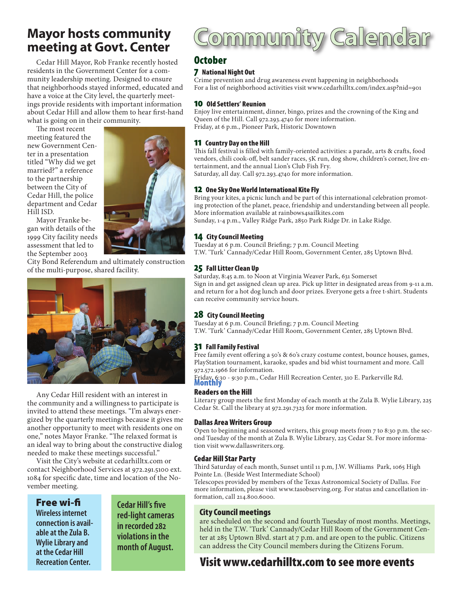## **Mayor hosts community meeting at Govt. Center**

Cedar Hill Mayor, Rob Franke recently hosted residents in the Government Center for a community leadership meeting. Designed to ensure that neighborhoods stayed informed, educated and have a voice at the City level, the quarterly meetings provide residents with important information about Cedar Hill and allow them to hear first-hand what is going on in their community.

The most recent meeting featured the new Government Center in a presentation titled "Why did we get married?" a reference to the partnership between the City of Cedar Hill, the police department and Cedar Hill ISD.



Mayor Franke began with details of the 1999 City facility needs assessment that led to the September 2003

City Bond Referendum and ultimately construction of the multi-purpose, shared facility.



Any Cedar Hill resident with an interest in the community and a willingness to participate is invited to attend these meetings. "I'm always energized by the quarterly meetings because it gives me another opportunity to meet with residents one on one," notes Mayor Franke. "The relaxed format is an ideal way to bring about the constructive dialog needed to make these meetings successful."

Visit the City's website at cedarhilltx.com or contact Neighborhood Services at 972.291.5100 ext. 1084 for specific date, time and location of the November meeting.

#### Free wi-fi

**Wireless internet connection is available at the Zula B. Wylie Library and at the Cedar Hill Recreation Center.**

**Cedar Hill's five red-light cameras in recorded 282 violations in the month of August.**

# Community Calendar

### October

#### 7 National Night Out

Crime prevention and drug awareness event happening in neighborhoods For a list of neighborhood activities visit www.cedarhilltx.com/index.asp?nid=901

#### 10 Old Settlers' Reunion

Enjoy live entertainment, dinner, bingo, prizes and the crowning of the King and Queen of the Hill. Call 972.293.4740 for more information. Friday, at 6 p.m., Pioneer Park, Historic Downtown

#### 11 Country Day on the Hill

This fall festival is filled with family-oriented activities: a parade, arts & crafts, food vendors, chili cook-off, belt sander races, 5K run, dog show, children's corner, live entertainment, and the annual Lion's Club Fish Fry. Saturday, all day. Call 972.293.4740 for more information.

#### 12 One Sky One World International Kite Fly

Bring your kites, a picnic lunch and be part of this international celebration promoting protection of the planet, peace, friendship and understanding between all people. More information available at rainbows4sailkites.com Sunday, 1-4 p.m., Valley Ridge Park, 2850 Park Ridge Dr. in Lake Ridge.

#### 14 City Council Meeting

Tuesday at 6 p.m. Council Briefing; 7 p.m. Council Meeting T.W. 'Turk' Cannady/Cedar Hill Room, Government Center, 285 Uptown Blvd.

#### 25 Fall Litter Clean Up

Saturday, 8:45 a.m. to Noon at Virginia Weaver Park, 631 Somerset Sign in and get assigned clean up area. Pick up litter in designated areas from 9-11 a.m. and return for a hot dog lunch and door prizes. Everyone gets a free t-shirt. Students can receive community service hours.

#### 28 City Council Meeting

Tuesday at 6 p.m. Council Briefing; 7 p.m. Council Meeting T.W. 'Turk' Cannady/Cedar Hill Room, Government Center, 285 Uptown Blvd.

#### 31 Fall Family Festival

Free family event offering a 50's & 60's crazy costume contest, bounce houses, games, PlayStation tournament, karaoke, spades and bid whist tournament and more. Call 972.572.1966 for information.

Friday, 6:30 - 9:30 p.m., Cedar Hill Recreation Center, 310 E. Parkerville Rd.<br>**Monthly** 

#### Readers on the Hill

Literary group meets the first Monday of each month at the Zula B. Wylie Library, 225 Cedar St. Call the library at 972.291.7323 for more information.

#### Dallas Area Writers Group

Open to beginning and seasoned writers, this group meets from 7 to 8:30 p.m. the second Tuesday of the month at Zula B. Wylie Library, 225 Cedar St. For more information visit www.dallaswriters.org.

#### Cedar Hill Star Party

Third Saturday of each month, Sunset until 11 p.m, J.W. Williams Park, 1065 High Pointe Ln. (Beside West Intermediate School)

Telescopes provided by members of the Texas Astronomical Society of Dallas. For more information, please visit www.tasobserving.org. For status and cancellation information, call 214.800.6000.

#### City Council meetings

are scheduled on the second and fourth Tuesday of most months. Meetings, held in the T.W. 'Turk' Cannady/Cedar Hill Room of the Government Center at 285 Uptown Blvd. start at 7 p.m. and are open to the public. Citizens can address the City Council members during the Citizens Forum.

## Visit www.cedarhilltx.com to see more events